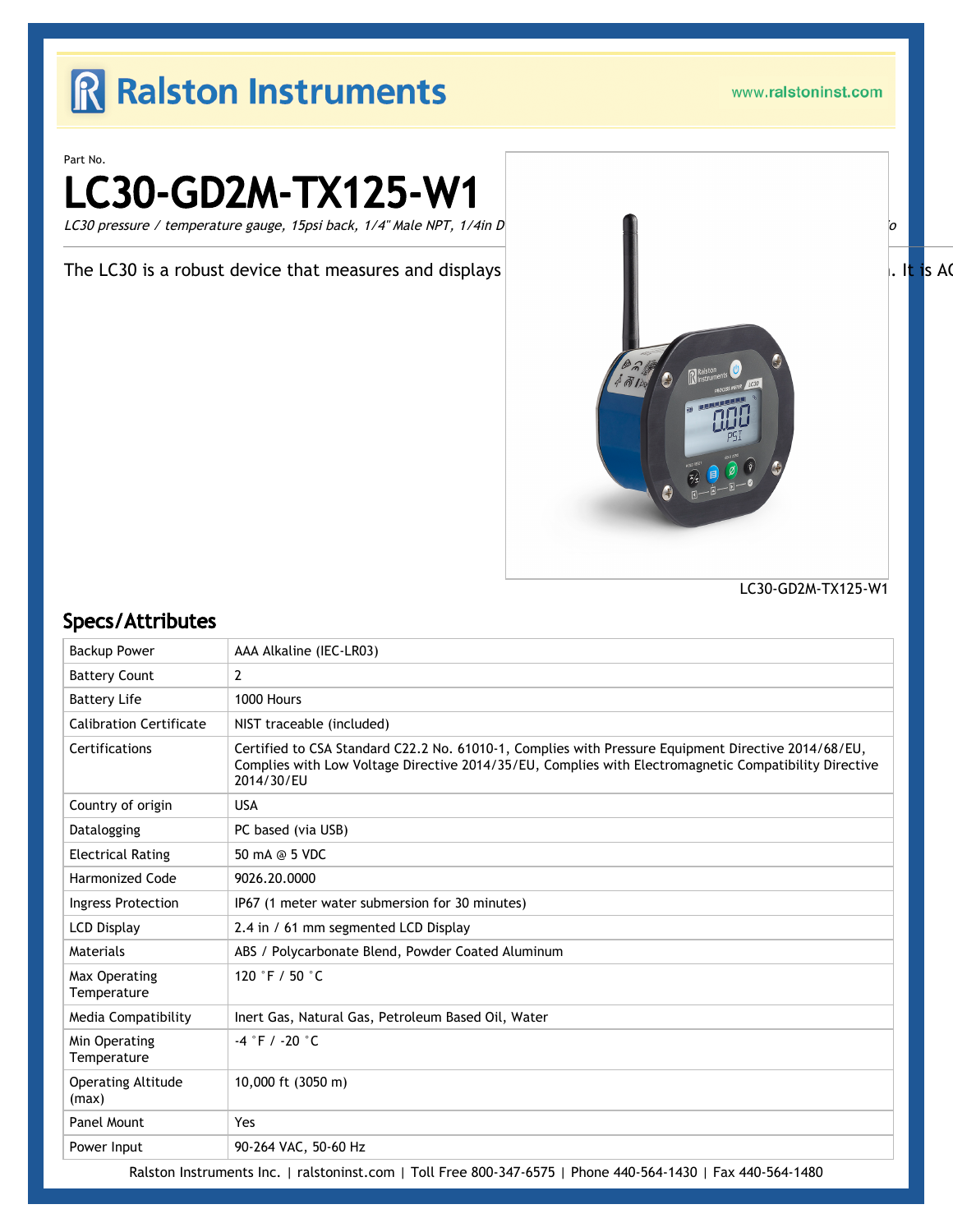### R Ralston Instruments

www.ralstoninst.com

Part No.

# LC30-GD2M-TX125-W1

LC30 pressure / temperature gauge, 15psi back, 1/4" Male NPT, 1/4in D  $\Box$ 

The LC30 is a robust device that measures and displays  $\|\cdot\|$  and  $\|\cdot\|$  and  $\|\cdot\|$  is A(



LC30-GD2M-TX125-W1

#### Specs/Attributes

| <b>Backup Power</b>                | AAA Alkaline (IEC-LR03)                                                                                                                                                                                                    |
|------------------------------------|----------------------------------------------------------------------------------------------------------------------------------------------------------------------------------------------------------------------------|
| <b>Battery Count</b>               | 2                                                                                                                                                                                                                          |
| <b>Battery Life</b>                | 1000 Hours                                                                                                                                                                                                                 |
| <b>Calibration Certificate</b>     | NIST traceable (included)                                                                                                                                                                                                  |
| Certifications                     | Certified to CSA Standard C22.2 No. 61010-1, Complies with Pressure Equipment Directive 2014/68/EU,<br>Complies with Low Voltage Directive 2014/35/EU, Complies with Electromagnetic Compatibility Directive<br>2014/30/EU |
| Country of origin                  | <b>USA</b>                                                                                                                                                                                                                 |
| Datalogging                        | PC based (via USB)                                                                                                                                                                                                         |
| <b>Electrical Rating</b>           | 50 mA @ 5 VDC                                                                                                                                                                                                              |
| <b>Harmonized Code</b>             | 9026.20.0000                                                                                                                                                                                                               |
| Ingress Protection                 | IP67 (1 meter water submersion for 30 minutes)                                                                                                                                                                             |
| <b>LCD Display</b>                 | 2.4 in / 61 mm segmented LCD Display                                                                                                                                                                                       |
| Materials                          | ABS / Polycarbonate Blend, Powder Coated Aluminum                                                                                                                                                                          |
| Max Operating<br>Temperature       | 120 °F / 50 °C                                                                                                                                                                                                             |
| Media Compatibility                | Inert Gas, Natural Gas, Petroleum Based Oil, Water                                                                                                                                                                         |
| Min Operating<br>Temperature       | $-4$ °F / -20 °C                                                                                                                                                                                                           |
| <b>Operating Altitude</b><br>(max) | 10,000 ft (3050 m)                                                                                                                                                                                                         |
| Panel Mount                        | Yes                                                                                                                                                                                                                        |
| Power Input                        | 90-264 VAC, 50-60 Hz                                                                                                                                                                                                       |

Ralston Instruments Inc. | [ralstoninst.com](https://www.ralstoninst.com) | Toll Free 800-347-6575 | Phone 440-564-1430 | Fax 440-564-1480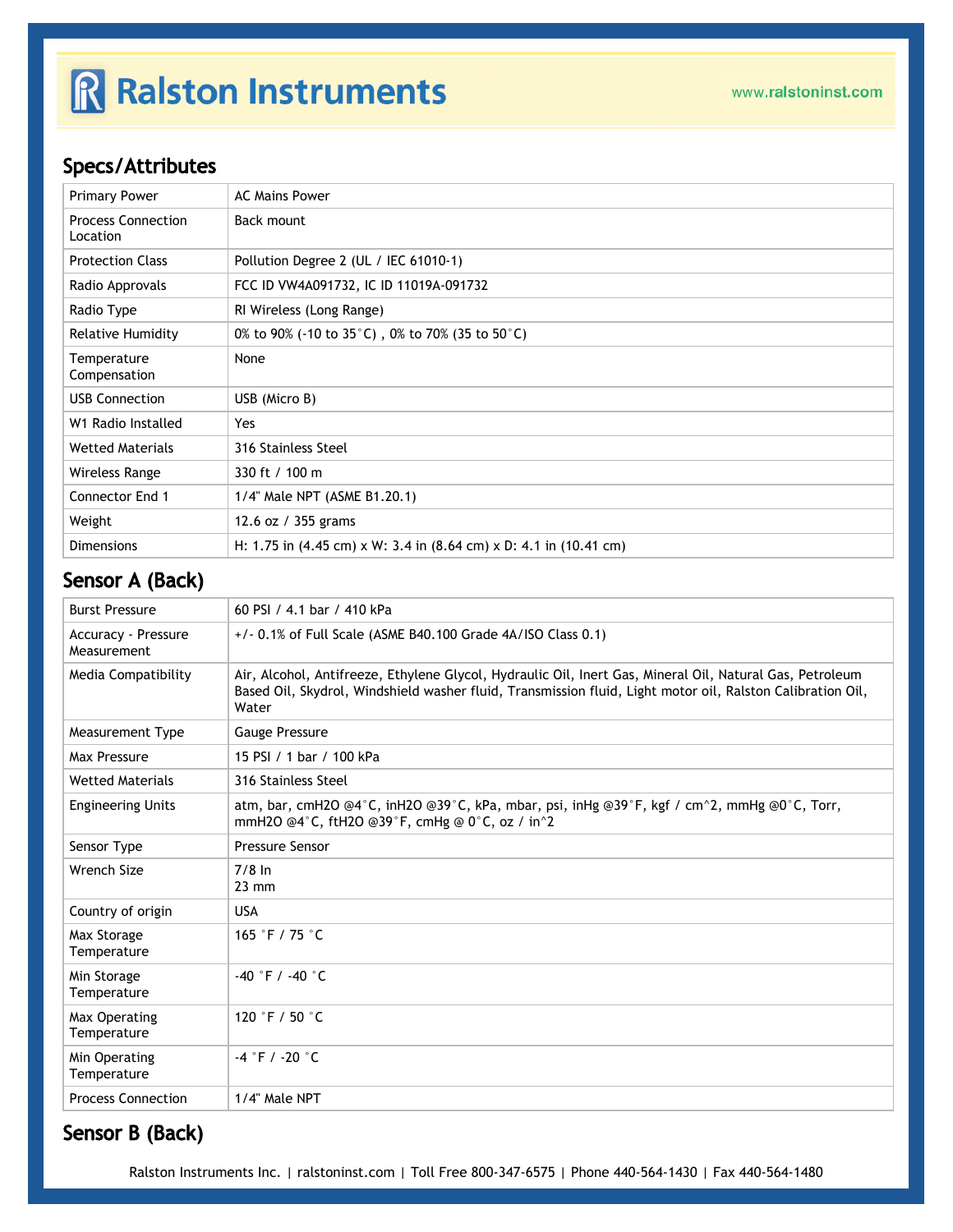## R Ralston Instruments

### Specs/Attributes

| <b>Primary Power</b>                  | <b>AC Mains Power</b>                                                                                       |
|---------------------------------------|-------------------------------------------------------------------------------------------------------------|
| <b>Process Connection</b><br>Location | Back mount                                                                                                  |
| <b>Protection Class</b>               | Pollution Degree 2 (UL / IEC 61010-1)                                                                       |
| Radio Approvals                       | FCC ID VW4A091732, IC ID 11019A-091732                                                                      |
| Radio Type                            | RI Wireless (Long Range)                                                                                    |
| <b>Relative Humidity</b>              | 0% to 90% (-10 to 35 $^{\circ}$ C), 0% to 70% (35 to 50 $^{\circ}$ C)                                       |
| Temperature<br>Compensation           | None                                                                                                        |
| <b>USB Connection</b>                 | USB (Micro B)                                                                                               |
| W1 Radio Installed                    | Yes                                                                                                         |
| <b>Wetted Materials</b>               | 316 Stainless Steel                                                                                         |
| Wireless Range                        | 330 ft / 100 m                                                                                              |
| <b>Connector End 1</b>                | 1/4" Male NPT (ASME B1.20.1)                                                                                |
| Weight                                | 12.6 oz / 355 grams                                                                                         |
| <b>Dimensions</b>                     | H: 1.75 in $(4.45 \text{ cm}) \times W$ : 3.4 in $(8.64 \text{ cm}) \times D$ : 4.1 in $(10.41 \text{ cm})$ |

#### Sensor A (Back)

| <b>Burst Pressure</b>              | 60 PSI / 4.1 bar / 410 kPa                                                                                                                                                                                                      |
|------------------------------------|---------------------------------------------------------------------------------------------------------------------------------------------------------------------------------------------------------------------------------|
| Accuracy - Pressure<br>Measurement | +/- 0.1% of Full Scale (ASME B40.100 Grade 4A/ISO Class 0.1)                                                                                                                                                                    |
| <b>Media Compatibility</b>         | Air, Alcohol, Antifreeze, Ethylene Glycol, Hydraulic Oil, Inert Gas, Mineral Oil, Natural Gas, Petroleum<br>Based Oil, Skydrol, Windshield washer fluid, Transmission fluid, Light motor oil, Ralston Calibration Oil,<br>Water |
| <b>Measurement Type</b>            | <b>Gauge Pressure</b>                                                                                                                                                                                                           |
| Max Pressure                       | 15 PSI / 1 bar / 100 kPa                                                                                                                                                                                                        |
| <b>Wetted Materials</b>            | 316 Stainless Steel                                                                                                                                                                                                             |
| <b>Engineering Units</b>           | atm, bar, cmH2O @4°C, inH2O @39°C, kPa, mbar, psi, inHg @39°F, kgf / cm^2, mmHg @0°C, Torr,<br>mmH2O @4°C, ftH2O @39°F, cmHg @ 0°C, oz / in^2                                                                                   |
| Sensor Type                        | <b>Pressure Sensor</b>                                                                                                                                                                                                          |
| <b>Wrench Size</b>                 | $7/8$ In<br>$23 \text{ mm}$                                                                                                                                                                                                     |
| Country of origin                  | <b>USA</b>                                                                                                                                                                                                                      |
| Max Storage<br>Temperature         | 165 °F / 75 $^{\circ}$ C                                                                                                                                                                                                        |
| Min Storage<br>Temperature         | $-40$ °F / $-40$ °C                                                                                                                                                                                                             |
| Max Operating<br>Temperature       | 120 °F / 50 °C                                                                                                                                                                                                                  |
| Min Operating<br>Temperature       | $-4$ °F / -20 °C                                                                                                                                                                                                                |
| <b>Process Connection</b>          | 1/4" Male NPT                                                                                                                                                                                                                   |

#### Sensor B (Back)

Ralston Instruments Inc. | [ralstoninst.com](https://www.ralstoninst.com) | Toll Free 800-347-6575 | Phone 440-564-1430 | Fax 440-564-1480